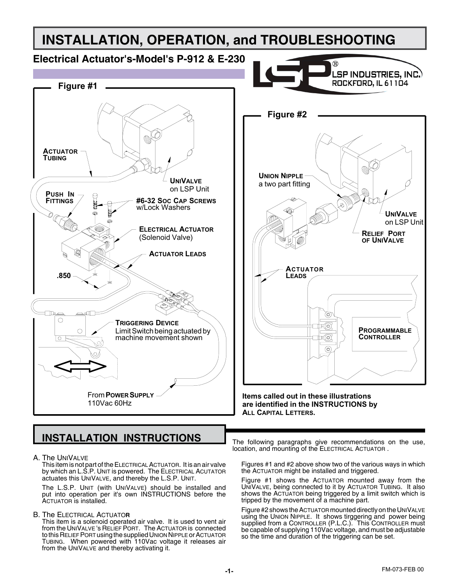## **INSTALLATION, OPERATION, and TROUBLESHOOTING Electrical Actuator's-Model's P-912 & E-230** LSP INDUSTRIES. INC.) ROCKFORD, IL 61104 **Figure #1 Figure #2 ACTUATOR TUBING UNION NIPPLE UNIVALVE** a two part fitting on LSP Unit**PUSH IN FITTINGS #6-32 SOC CAP SCREWS** G w/Lock Washers **UNIVALVE** on LSP Unit **ELECTRICAL ACTUATOR RELIEF PORT** (Solenoid Valve) **OF UNIVALVE ACTUATOR LEADS ACTUATOR .850 LEADS** Th তে)  $\circ$ **TRIGGERING DEVICE** E©) **PROGRAMMABLE** Limit Switch being actuated by  $\circ$ **CONTROLLER** machine movement shown  $(\widehat{\mathbf{o}})$ 10 I  $\circledcirc$ From **POWER SUPPLY Items called out in these illustrations** 110Vac 60Hz **are identified in the INSTRUCTIONS by ALL CAPITAL LETTERS.**

# **INSTALLATION INSTRUCTIONS**

A. The UniValve

This item is not part of the ELECTRICAL ACTUATOR. It is an air valve by which an L.S.P. UNIT is powered. The ELECTRICAL ACUTATOR actuates this UNIVALVE, and thereby the L.S.P. UNIT.

The L.S.P. Unit (with UniValve) should be installed and put into operation per it's own INSTRUCTIONS before the ACTUATOR is installed.

B. The Electrical Actuato**r**

This item is a solenoid operated air valve. It is used to vent air from the UNIVALVE's RELIEF PORT. The ACTUATOR is connected to this RELIEF PORT using the supplied UNION NIPPLE or ACTUATOR Tubing. When powered with 110Vac voltage it releases air from the UNIVALVE and thereby activating it.

The following paragraphs give recommendations on the use, location, and mounting of the ELECTRICAL ACTUATOR.

Figures #1 and #2 above show two of the various ways in which the ACTUATOR might be installed and triggered.

Figure #1 shows the ACTUATOR mounted away from the UNIVALVE, being connected to it by ACTUATOR TUBING. It also shows the ACTUATOR being triggered by a limit switch which is tripped by the movement of a machine part.

Figure #2 shows the ACTUATOR mounted directly on the UNIVALVE using the Union Nipple. It shows tirggering and power being supplied from a Controller (P.L.C.). This Controller must be capable of supplying 110Vac voltage, and must be adjustable so the time and duration of the triggering can be set.